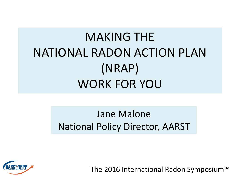## MAKING THE NATIONAL RADON ACTION PLAN (NRAP) WORK FOR YOU

#### Jane Malone National Policy Director, AARST

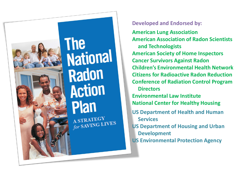

### **The** National **Radon Action Plan** A STRATEGY A STRATEGY<br>for SAVING LIVES

**Developed and Endorsed by:**

**American Lung Association American Association of Radon Scientists and Technologists American Society of Home Inspectors Cancer Survivors Against Radon Children's Environmental Health Network Citizens for Radioactive Radon Reduction Conference of Radiation Control Program Directors Environmental Law Institute National Center for Healthy Housing US Department of Health and Human Services US Department of Housing and Urban Development US Environmental Protection Agency**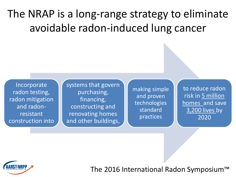### The NRAP is a long-range strategy to eliminate avoidable radon-induced lung cancer

Incorporate radon testing, radon mitigation and radonresistant construction into systems that govern purchasing, financing, constructing and renovating homes and other buildings,

making simple and proven technologies standard practices

to reduce radon risk in 5 million homes and save 3,200 lives by 2020

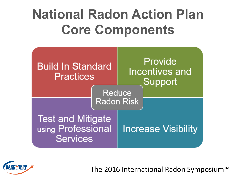# **National Radon Action Plan Core Components**



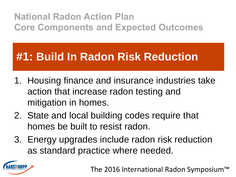### **#1: Build In Radon Risk Reduction**

- 1. Housing finance and insurance industries take action that increase radon testing and mitigation in homes.
- 2. State and local building codes require that homes be built to resist radon.
- 3. Energy upgrades include radon risk reduction as standard practice where needed.

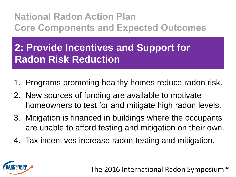#### **2: Provide Incentives and Support for Radon Risk Reduction**

- 1. Programs promoting healthy homes reduce radon risk.
- 2. New sources of funding are available to motivate homeowners to test for and mitigate high radon levels.
- 3. Mitigation is financed in buildings where the occupants are unable to afford testing and mitigation on their own.
- 4. Tax incentives increase radon testing and mitigation.

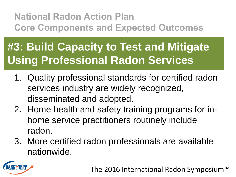### **#3: Build Capacity to Test and Mitigate Using Professional Radon Services**

- 1. Quality professional standards for certified radon services industry are widely recognized, disseminated and adopted.
- 2. Home health and safety training programs for inhome service practitioners routinely include radon.
- 3. More certified radon professionals are available nationwide.

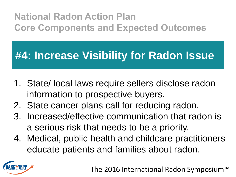### **#4: Increase Visibility for Radon Issue**

- 1. State/ local laws require sellers disclose radon information to prospective buyers.
- 2. State cancer plans call for reducing radon.
- 3. Increased/effective communication that radon is a serious risk that needs to be a priority.
- 4. Medical, public health and childcare practitioners educate patients and families about radon.

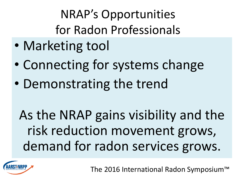NRAP's Opportunities for Radon Professionals

- Marketing tool
- Connecting for systems change
- Demonstrating the trend

As the NRAP gains visibility and the risk reduction movement grows, demand for radon services grows.

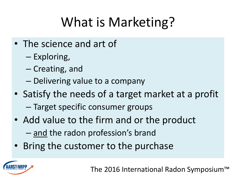# What is Marketing?

- The science and art of
	- Exploring,
	- Creating, and
	- Delivering value to a company
- Satisfy the needs of a target market at a profit
	- Target specific consumer groups
- Add value to the firm and or the product - and the radon profession's brand
- Bring the customer to the purchase

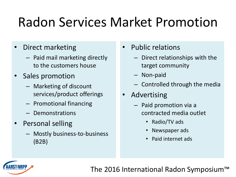# Radon Services Market Promotion

- Direct marketing
	- Paid mail marketing directly to the customers house
- Sales promotion
	- Marketing of discount services/product offerings
	- Promotional financing
	- Demonstrations
- Personal selling
	- Mostly business-to-business (B2B)
- Public relations
	- Direct relationships with the target community
	- Non-paid
	- Controlled through the media
- **Advertising** 
	- Paid promotion via a contracted media outlet
		- Radio/TV ads
		- Newspaper ads
		- Paid internet ads

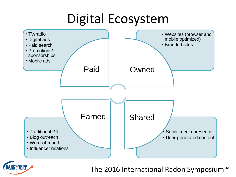## Digital Ecosystem



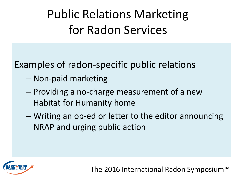Public Relations Marketing for Radon Services

Examples of radon-specific public relations

- Non-paid marketing
- Providing a no-charge measurement of a new Habitat for Humanity home
- Writing an op-ed or letter to the editor announcing NRAP and urging public action

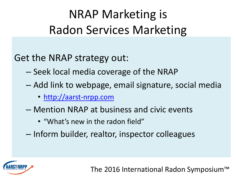## NRAP Marketing is Radon Services Marketing

Get the NRAP strategy out:

- Seek local media coverage of the NRAP
- Add link to webpage, email signature, social media
	- [http://aarst-nrpp.com](http://aarst-nrpp.com/)
- Mention NRAP at business and civic events
	- "What's new in the radon field"
- Inform builder, realtor, inspector colleagues

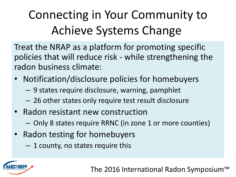## Connecting in Your Community to Achieve Systems Change

Treat the NRAP as a platform for promoting specific policies that will reduce risk - while strengthening the radon business climate:

- Notification/disclosure policies for homebuyers
	- 9 states require disclosure, warning, pamphlet
	- 26 other states only require test result disclosure
- Radon resistant new construction
	- Only 8 states require RRNC (in zone 1 or more counties)
- Radon testing for homebuyers
	- 1 county, no states require this

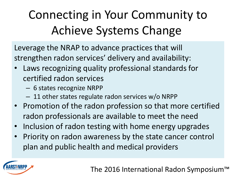## Connecting in Your Community to Achieve Systems Change

Leverage the NRAP to advance practices that will strengthen radon services' delivery and availability:

- Laws recognizing quality professional standards for certified radon services
	- 6 states recognize NRPP
	- 11 other states regulate radon services w/o NRPP
- Promotion of the radon profession so that more certified radon professionals are available to meet the need
- Inclusion of radon testing with home energy upgrades
- Priority on radon awareness by the state cancer control plan and public health and medical providers

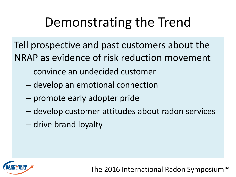## Demonstrating the Trend

Tell prospective and past customers about the NRAP as evidence of risk reduction movement

- convince an undecided customer
- develop an emotional connection
- promote early adopter pride
- develop customer attitudes about radon services
- drive brand loyalty